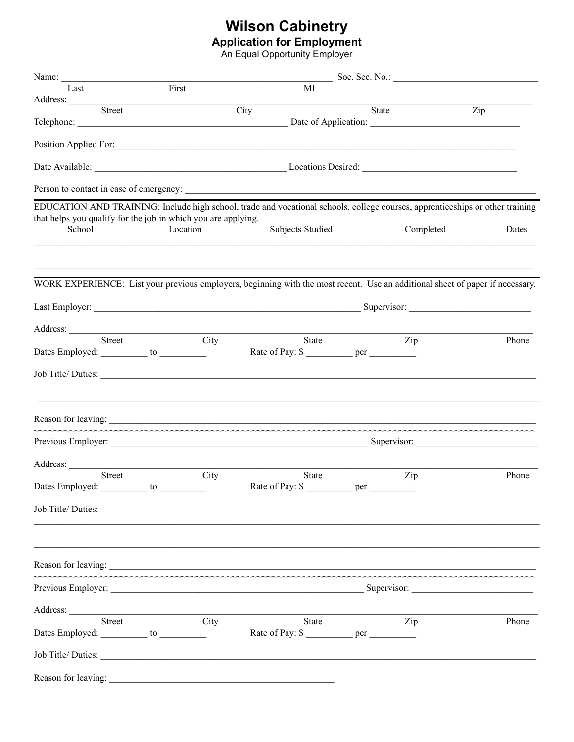## **Wilson Cabinetry**<br>Application for Employment<br>An Equal Opportunity Employer

| Name:                                                                                                                                                                                                                                |                                                                                                                               |      |                   |                                                                                  |       |                  |       |  |  |  |  |
|--------------------------------------------------------------------------------------------------------------------------------------------------------------------------------------------------------------------------------------|-------------------------------------------------------------------------------------------------------------------------------|------|-------------------|----------------------------------------------------------------------------------|-------|------------------|-------|--|--|--|--|
| Last                                                                                                                                                                                                                                 | First<br>MI                                                                                                                   |      |                   |                                                                                  |       |                  |       |  |  |  |  |
| Address: <u>Street Street Street Street Street Street Street Street Street Street Street Street Street Street Street Street Street Street Street Street Street Street Street Street Street Street Street Street Street Street St</u> |                                                                                                                               |      | $\overline{City}$ |                                                                                  | State |                  | Zip   |  |  |  |  |
|                                                                                                                                                                                                                                      |                                                                                                                               |      |                   |                                                                                  |       |                  |       |  |  |  |  |
|                                                                                                                                                                                                                                      |                                                                                                                               |      |                   |                                                                                  |       |                  |       |  |  |  |  |
|                                                                                                                                                                                                                                      |                                                                                                                               |      |                   |                                                                                  |       |                  |       |  |  |  |  |
|                                                                                                                                                                                                                                      |                                                                                                                               |      |                   |                                                                                  |       |                  |       |  |  |  |  |
| EDUCATION AND TRAINING: Include high school, trade and vocational schools, college courses, apprenticeships or other training                                                                                                        |                                                                                                                               |      |                   |                                                                                  |       |                  |       |  |  |  |  |
| that helps you qualify for the job in which you are applying.<br>School                                                                                                                                                              | Location                                                                                                                      |      |                   | Subjects Studied                                                                 |       | Completed        | Dates |  |  |  |  |
|                                                                                                                                                                                                                                      |                                                                                                                               |      |                   |                                                                                  |       |                  |       |  |  |  |  |
|                                                                                                                                                                                                                                      | WORK EXPERIENCE: List your previous employers, beginning with the most recent. Use an additional sheet of paper if necessary. |      |                   |                                                                                  |       |                  |       |  |  |  |  |
|                                                                                                                                                                                                                                      |                                                                                                                               |      |                   |                                                                                  |       |                  |       |  |  |  |  |
| Address:<br>Street                                                                                                                                                                                                                   |                                                                                                                               | City |                   | State                                                                            |       | $\overline{Zip}$ | Phone |  |  |  |  |
| Dates Employed: ___________ to ____________                                                                                                                                                                                          |                                                                                                                               |      |                   |                                                                                  |       |                  |       |  |  |  |  |
|                                                                                                                                                                                                                                      |                                                                                                                               |      |                   |                                                                                  |       |                  |       |  |  |  |  |
| Reason for leaving: example, the contract of the contract of the contract of the contract of the contract of the contract of the contract of the contract of the contract of the contract of the contract of the contract of t       |                                                                                                                               |      |                   |                                                                                  |       |                  |       |  |  |  |  |
|                                                                                                                                                                                                                                      |                                                                                                                               |      |                   |                                                                                  |       |                  |       |  |  |  |  |
| Address:                                                                                                                                                                                                                             |                                                                                                                               |      |                   |                                                                                  |       |                  |       |  |  |  |  |
| Street                                                                                                                                                                                                                               |                                                                                                                               | City |                   | <b>State</b>                                                                     |       | Zip              | Phone |  |  |  |  |
| Dates Employed: __________ to _<br>Job Title/ Duties:                                                                                                                                                                                |                                                                                                                               |      |                   |                                                                                  |       |                  |       |  |  |  |  |
|                                                                                                                                                                                                                                      |                                                                                                                               |      |                   | ,我们也不能在这里的时候,我们也不能在这里的时候,我们也不能会在这里的时候,我们也不能会在这里的时候,我们也不能会在这里的时候,我们也不能会在这里的时候,我们也 |       |                  |       |  |  |  |  |
| Reason for leaving:                                                                                                                                                                                                                  |                                                                                                                               |      |                   |                                                                                  |       |                  |       |  |  |  |  |
|                                                                                                                                                                                                                                      |                                                                                                                               |      |                   |                                                                                  |       |                  |       |  |  |  |  |
|                                                                                                                                                                                                                                      |                                                                                                                               |      |                   |                                                                                  |       |                  |       |  |  |  |  |
| Address: <u>Street City</u><br>Dates Employed: ___________ to ____________                                                                                                                                                           |                                                                                                                               |      |                   | State<br>Rate of Pay: \$ ____________ per __________                             |       | Zip              | Phone |  |  |  |  |
|                                                                                                                                                                                                                                      |                                                                                                                               |      |                   |                                                                                  |       |                  |       |  |  |  |  |
| Job Title/Duties:                                                                                                                                                                                                                    |                                                                                                                               |      |                   |                                                                                  |       |                  |       |  |  |  |  |
| Reason for leaving:                                                                                                                                                                                                                  |                                                                                                                               |      |                   |                                                                                  |       |                  |       |  |  |  |  |